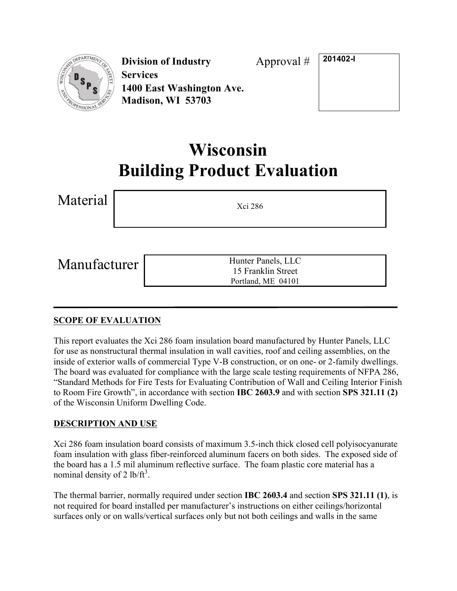

**Division of Industry Services 1400 East Washington Ave. Madison, WI 53703**

Approval # **201402-I**

# **Wisconsin Building Product Evaluation**

| Material     | Xci 286                                                        |
|--------------|----------------------------------------------------------------|
| Manufacturer | Hunter Panels, LLC<br>15 Franklin Street<br>Portland, ME 04101 |

# **SCOPE OF EVALUATION**

This report evaluates the Xci 286 foam insulation board manufactured by Hunter Panels, LLC for use as nonstructural thermal insulation in wall cavities, roof and ceiling assemblies, on the inside of exterior walls of commercial Type V-B construction, or on one- or 2-family dwellings. The board was evaluated for compliance with the large scale testing requirements of NFPA 286, "Standard Methods for Fire Tests for Evaluating Contribution of Wall and Ceiling Interior Finish to Room Fire Growth", in accordance with section **IBC 2603.9** and with section **SPS 321.11 (2)** of the Wisconsin Uniform Dwelling Code.

# **DESCRIPTION AND USE**

Xci 286 foam insulation board consists of maximum 3.5-inch thick closed cell polyisocyanurate foam insulation with glass fiber-reinforced aluminum facers on both sides. The exposed side of the board has a 1.5 mil aluminum reflective surface. The foam plastic core material has a nominal density of 2 lb/ $ft^3$ .

The thermal barrier, normally required under section **IBC 2603.4** and section **SPS 321.11 (1)**, is not required for board installed per manufacturer's instructions on either ceilings/horizontal surfaces only or on walls/vertical surfaces only but not both ceilings and walls in the same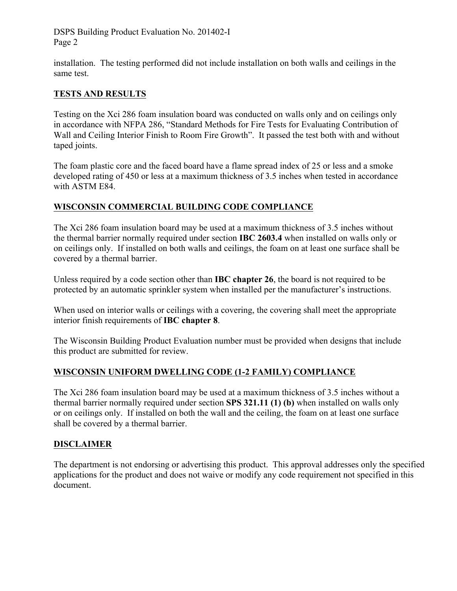DSPS Building Product Evaluation No. 201402-I Page 2

installation. The testing performed did not include installation on both walls and ceilings in the same test.

## **TESTS AND RESULTS**

Testing on the Xci 286 foam insulation board was conducted on walls only and on ceilings only in accordance with NFPA 286, "Standard Methods for Fire Tests for Evaluating Contribution of Wall and Ceiling Interior Finish to Room Fire Growth". It passed the test both with and without taped joints.

The foam plastic core and the faced board have a flame spread index of 25 or less and a smoke developed rating of 450 or less at a maximum thickness of 3.5 inches when tested in accordance with ASTM E84.

## **WISCONSIN COMMERCIAL BUILDING CODE COMPLIANCE**

The Xci 286 foam insulation board may be used at a maximum thickness of 3.5 inches without the thermal barrier normally required under section **IBC 2603.4** when installed on walls only or on ceilings only. If installed on both walls and ceilings, the foam on at least one surface shall be covered by a thermal barrier.

Unless required by a code section other than **IBC chapter 26**, the board is not required to be protected by an automatic sprinkler system when installed per the manufacturer's instructions.

When used on interior walls or ceilings with a covering, the covering shall meet the appropriate interior finish requirements of **IBC chapter 8**.

The Wisconsin Building Product Evaluation number must be provided when designs that include this product are submitted for review.

#### **WISCONSIN UNIFORM DWELLING CODE (1-2 FAMILY) COMPLIANCE**

The Xci 286 foam insulation board may be used at a maximum thickness of 3.5 inches without a thermal barrier normally required under section **SPS 321.11 (1) (b)** when installed on walls only or on ceilings only. If installed on both the wall and the ceiling, the foam on at least one surface shall be covered by a thermal barrier.

#### **DISCLAIMER**

The department is not endorsing or advertising this product. This approval addresses only the specified applications for the product and does not waive or modify any code requirement not specified in this document.